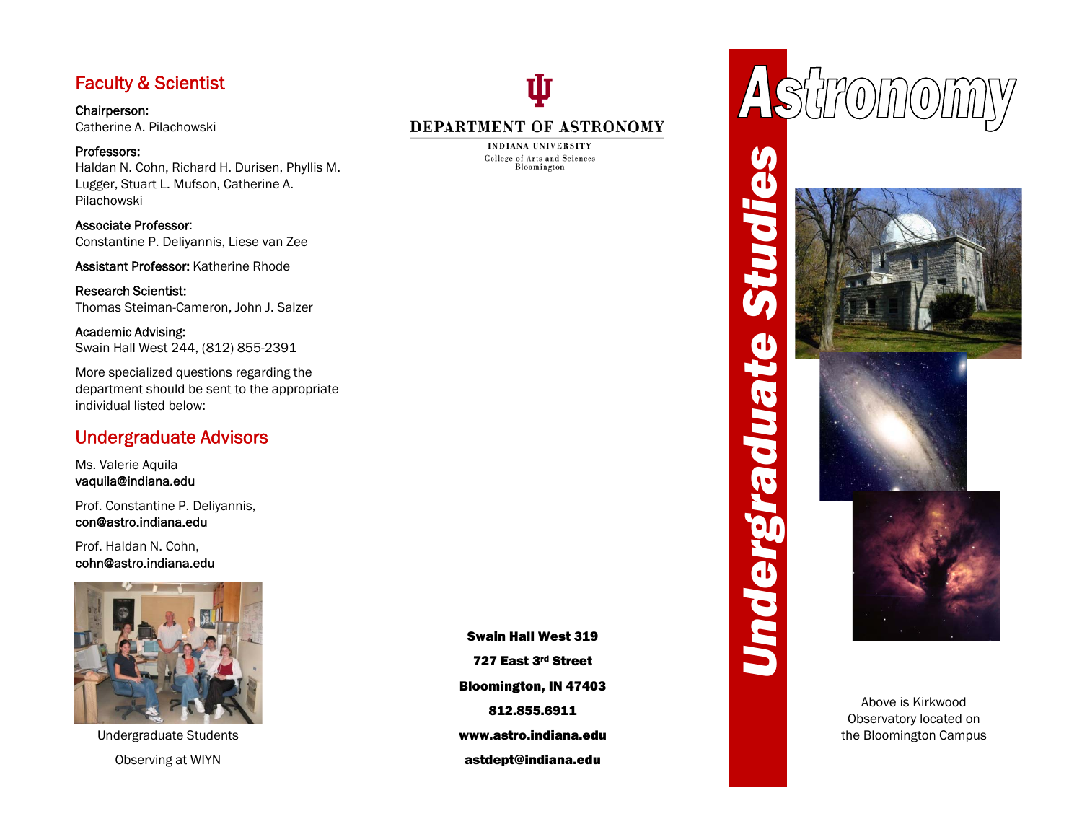# Faculty & Scientist

Chairperson: Catherine A. Pilachowski

Professors:Haldan N. Cohn, Richard H. Durisen, Phyllis M.<br>Lugger, Stuart L. Mufson, Catherine A.<br>Pilachowski<br>Associate Professor:<br>Constantine P. Deliyannis, Liese van Zee<br>Assistant Professor: Katherine Rhode Lugger, Stuart L. Mufson, Catherine A. Pilachowski

Associate Professor: Constantine P. Deliyannis, Liese van Zee

Assistant Professor: Katherine Rhode<br>
Research Scientist:<br>
Thomas Steiman-Cameron, John J. Salzer<br>
Academic Advising:<br>
Swain Hall West 244, (812) 855-2391<br>
More specialized questions regarding the Research Scientist: Thomas Steiman-Cameron, John J. Salzer

Academic Advising: Swain Hall West 244, (812) 855-2391

More specialized questions regarding the department should be sent to the appropriate individual listed below:

# Undergraduate Advisors

Ms. Valerie Aquila vaquila@indiana.edu

Prof. Constantine P. Deliyannis, con@astro.indiana.edu

Prof. Haldan N. Cohn, cohn@astro.indiana.edu



Undergraduate Students Observing at WIYN

Swain Hall West 319<br>727 East 3<sup>rd</sup> Street Bloomington, IN 47403<br>812.855.6911 www.astro.indiana.eduastdept@indiana.edu



## DEPARTMENT OF ASTRONOMY

**INDIANA UNIVERSITY** College of Arts and Sciences



Above is Kirkwood Observatory located on the Bloomington Campus